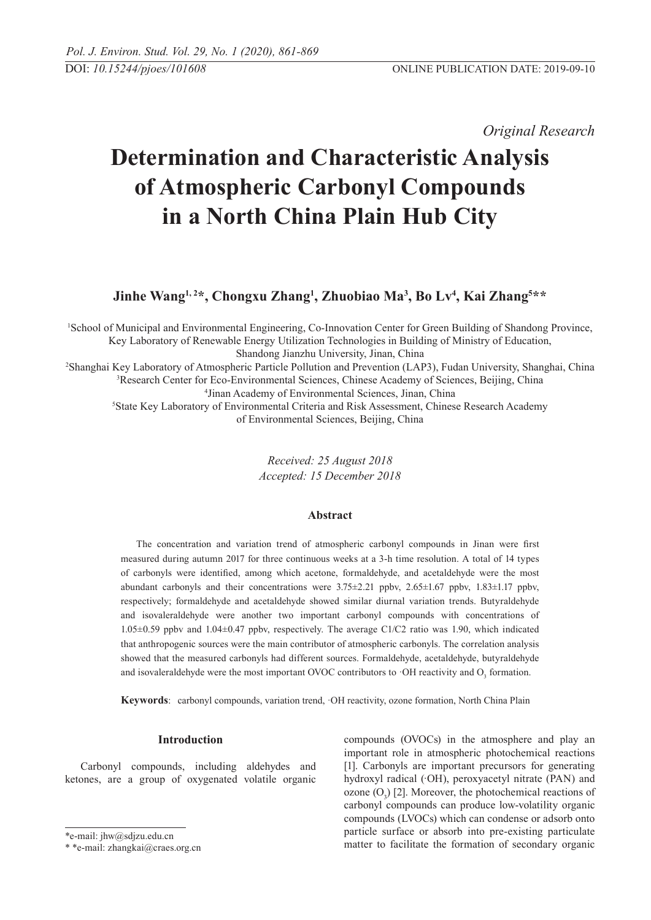*Original Research* 

# **Determination and Characteristic Analysis of Atmospheric Carbonyl Compounds in a North China Plain Hub City**

**Jinhe Wang1, 2\*, Chongxu Zhang1 , Zhuobiao Ma3 , Bo Lv4 , Kai Zhang5 \*\***

 School of Municipal and Environmental Engineering, Co-Innovation Center for Green Building of Shandong Province, Key Laboratory of Renewable Energy Utilization Technologies in Building of Ministry of Education, Shandong Jianzhu University, Jinan, China Shanghai Key Laboratory of Atmospheric Particle Pollution and Prevention (LAP3), Fudan University, Shanghai, China Research Center for Eco-Environmental Sciences, Chinese Academy of Sciences, Beijing, China Jinan Academy of Environmental Sciences, Jinan, China State Key Laboratory of Environmental Criteria and Risk Assessment, Chinese Research Academy

of Environmental Sciences, Beijing, China

*Received: 25 August 2018 Accepted: 15 December 2018*

# **Abstract**

The concentration and variation trend of atmospheric carbonyl compounds in Jinan were first measured during autumn 2017 for three continuous weeks at a 3-h time resolution. A total of 14 types of carbonyls were identified, among which acetone, formaldehyde, and acetaldehyde were the most abundant carbonyls and their concentrations were 3.75±2.21 ppbv, 2.65±1.67 ppbv, 1.83±1.17 ppbv, respectively; formaldehyde and acetaldehyde showed similar diurnal variation trends. Butyraldehyde and isovaleraldehyde were another two important carbonyl compounds with concentrations of 1.05±0.59 ppbv and 1.04±0.47 ppbv, respectively. The average C1/C2 ratio was 1.90, which indicated that anthropogenic sources were the main contributor of atmospheric carbonyls. The correlation analysis showed that the measured carbonyls had different sources. Formaldehyde, acetaldehyde, butyraldehyde and isovaleraldehyde were the most important OVOC contributors to  $\cdot$ OH reactivity and O<sub>3</sub> formation.

**Keywords**: carbonyl compounds, variation trend, ·OH reactivity, ozone formation, North China Plain

# **Introduction**

Carbonyl compounds, including aldehydes and ketones, are a group of oxygenated volatile organic compounds (OVOCs) in the atmosphere and play an important role in atmospheric photochemical reactions [1]. Carbonyls are important precursors for generating hydroxyl radical (·OH), peroxyacetyl nitrate (PAN) and ozone  $(O_3)$  [2]. Moreover, the photochemical reactions of carbonyl compounds can produce low-volatility organic compounds (LVOCs) which can condense or adsorb onto particle surface or absorb into pre-existing particulate matter to facilitate the formation of secondary organic

<sup>\*</sup>e-mail: jhw@sdjzu.edu.cn

<sup>\* \*</sup>e-mail: zhangkai@craes.org.cn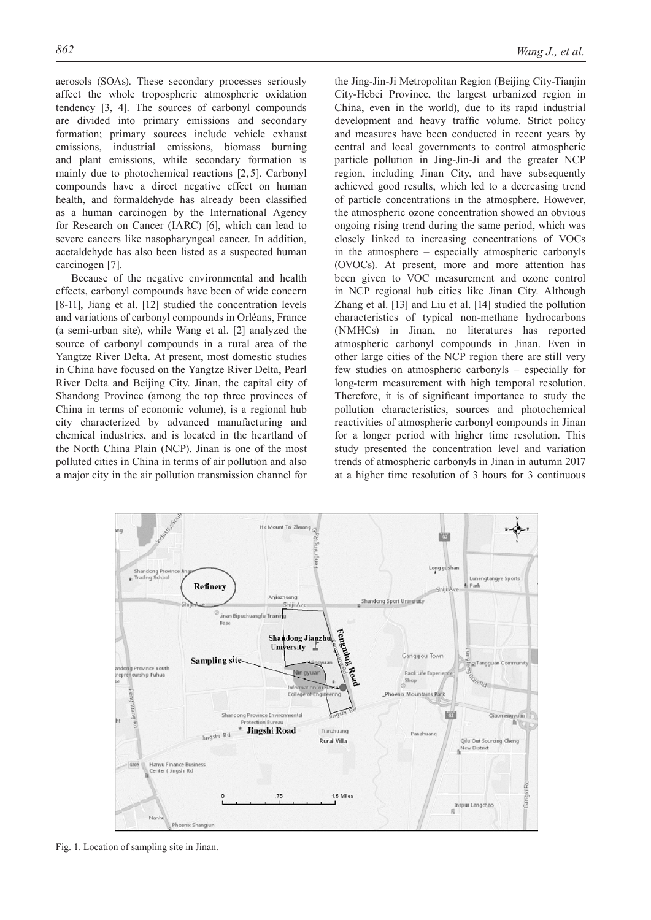aerosols (SOAs). These secondary processes seriously affect the whole tropospheric atmospheric oxidation tendency [3, 4]. The sources of carbonyl compounds are divided into primary emissions and secondary formation; primary sources include vehicle exhaust emissions, industrial emissions, biomass burning and plant emissions, while secondary formation is mainly due to photochemical reactions [2,5]. Carbonyl compounds have a direct negative effect on human health, and formaldehyde has already been classified as a human carcinogen by the International Agency for Research on Cancer (IARC) [6], which can lead to severe cancers like nasopharyngeal cancer. In addition, acetaldehyde has also been listed as a suspected human carcinogen [7].

Because of the negative environmental and health effects, carbonyl compounds have been of wide concern [8-11], Jiang et al. [12] studied the concentration levels and variations of carbonyl compounds in Orléans, France (a semi-urban site), while Wang et al. [2] analyzed the source of carbonyl compounds in a rural area of the Yangtze River Delta. At present, most domestic studies in China have focused on the Yangtze River Delta, Pearl River Delta and Beijing City. Jinan, the capital city of Shandong Province (among the top three provinces of China in terms of economic volume), is a regional hub city characterized by advanced manufacturing and chemical industries, and is located in the heartland of the North China Plain (NCP). Jinan is one of the most polluted cities in China in terms of air pollution and also a major city in the air pollution transmission channel for

the Jing-Jin-Ji Metropolitan Region (Beijing City-Tianjin City-Hebei Province, the largest urbanized region in China, even in the world), due to its rapid industrial development and heavy traffic volume. Strict policy and measures have been conducted in recent years by central and local governments to control atmospheric particle pollution in Jing-Jin-Ji and the greater NCP region, including Jinan City, and have subsequently achieved good results, which led to a decreasing trend of particle concentrations in the atmosphere. However, the atmospheric ozone concentration showed an obvious ongoing rising trend during the same period, which was closely linked to increasing concentrations of VOCs in the atmosphere – especially atmospheric carbonyls (OVOCs). At present, more and more attention has been given to VOC measurement and ozone control in NCP regional hub cities like Jinan City. Although Zhang et al. [13] and Liu et al. [14] studied the pollution characteristics of typical non-methane hydrocarbons (NMHCs) in Jinan, no literatures has reported atmospheric carbonyl compounds in Jinan. Even in other large cities of the NCP region there are still very few studies on atmospheric carbonyls – especially for long-term measurement with high temporal resolution. Therefore, it is of significant importance to study the pollution characteristics, sources and photochemical reactivities of atmospheric carbonyl compounds in Jinan for a longer period with higher time resolution. This study presented the concentration level and variation trends of atmospheric carbonyls in Jinan in autumn 2017 at a higher time resolution of 3 hours for 3 continuous



Fig. 1. Location of sampling site in Jinan.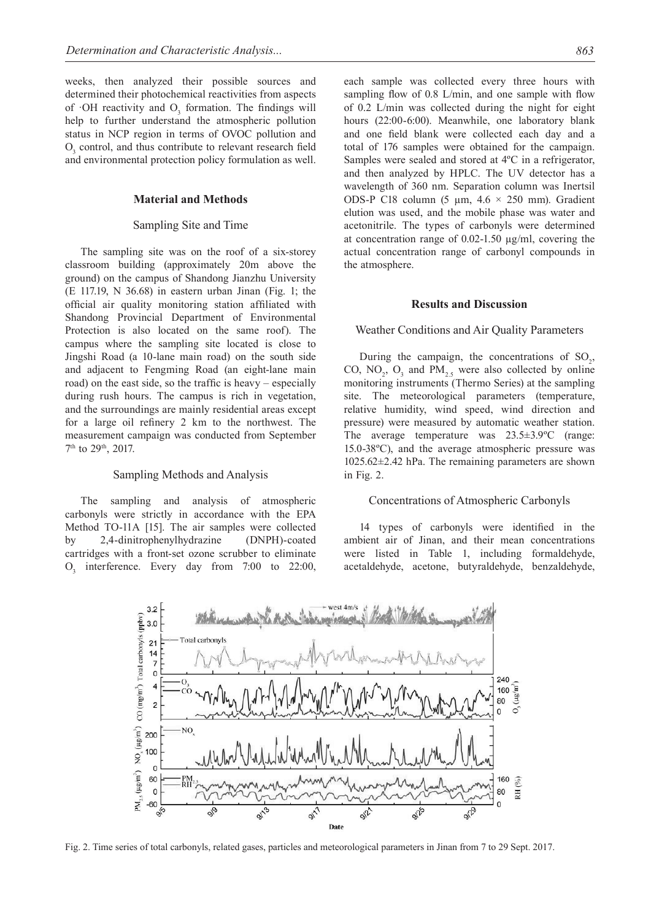weeks, then analyzed their possible sources and determined their photochemical reactivities from aspects of  $\cdot$ OH reactivity and  $O_3$  formation. The findings will help to further understand the atmospheric pollution status in NCP region in terms of OVOC pollution and  $O<sub>3</sub>$  control, and thus contribute to relevant research field and environmental protection policy formulation as well.

## **Material and Methods**

## Sampling Site and Time

The sampling site was on the roof of a six-storey classroom building (approximately 20m above the ground) on the campus of Shandong Jianzhu University (E 117.19, N 36.68) in eastern urban Jinan (Fig. 1; the official air quality monitoring station affiliated with Shandong Provincial Department of Environmental Protection is also located on the same roof). The campus where the sampling site located is close to Jingshi Road (a 10-lane main road) on the south side and adjacent to Fengming Road (an eight-lane main road) on the east side, so the traffic is heavy – especially during rush hours. The campus is rich in vegetation, and the surroundings are mainly residential areas except for a large oil refinery 2 km to the northwest. The measurement campaign was conducted from September 7<sup>th</sup> to 29<sup>th</sup>, 2017.

#### Sampling Methods and Analysis

The sampling and analysis of atmospheric carbonyls were strictly in accordance with the EPA Method TO-11A [15]. The air samples were collected by 2,4-dinitrophenylhydrazine (DNPH)-coated cartridges with a front-set ozone scrubber to eliminate  $O_3$  interference. Every day from 7:00 to 22:00, each sample was collected every three hours with sampling flow of 0.8 L/min, and one sample with flow of 0.2 L/min was collected during the night for eight hours (22:00-6:00). Meanwhile, one laboratory blank and one field blank were collected each day and a total of 176 samples were obtained for the campaign. Samples were sealed and stored at 4ºC in a refrigerator, and then analyzed by HPLC. The UV detector has a wavelength of 360 nm. Separation column was Inertsil ODS-P C18 column (5  $\mu$ m, 4.6  $\times$  250 mm). Gradient elution was used, and the mobile phase was water and acetonitrile. The types of carbonyls were determined at concentration range of 0.02-1.50 µg/ml, covering the actual concentration range of carbonyl compounds in the atmosphere.

## **Results and Discussion**

#### Weather Conditions and Air Quality Parameters

During the campaign, the concentrations of  $SO_2$ , CO,  $NO_2$ ,  $O_3$  and  $PM_{2.5}$  were also collected by online monitoring instruments (Thermo Series) at the sampling site. The meteorological parameters (temperature, relative humidity, wind speed, wind direction and pressure) were measured by automatic weather station. The average temperature was 23.5±3.9ºC (range: 15.0-38ºC), and the average atmospheric pressure was 1025.62±2.42 hPa. The remaining parameters are shown in Fig. 2.

## Concentrations of Atmospheric Carbonyls

14 types of carbonyls were identified in the ambient air of Jinan, and their mean concentrations were listed in Table 1, including formaldehyde, acetaldehyde, acetone, butyraldehyde, benzaldehyde,



Fig. 2. Time series of total carbonyls, related gases, particles and meteorological parameters in Jinan from 7 to 29 Sept. 2017.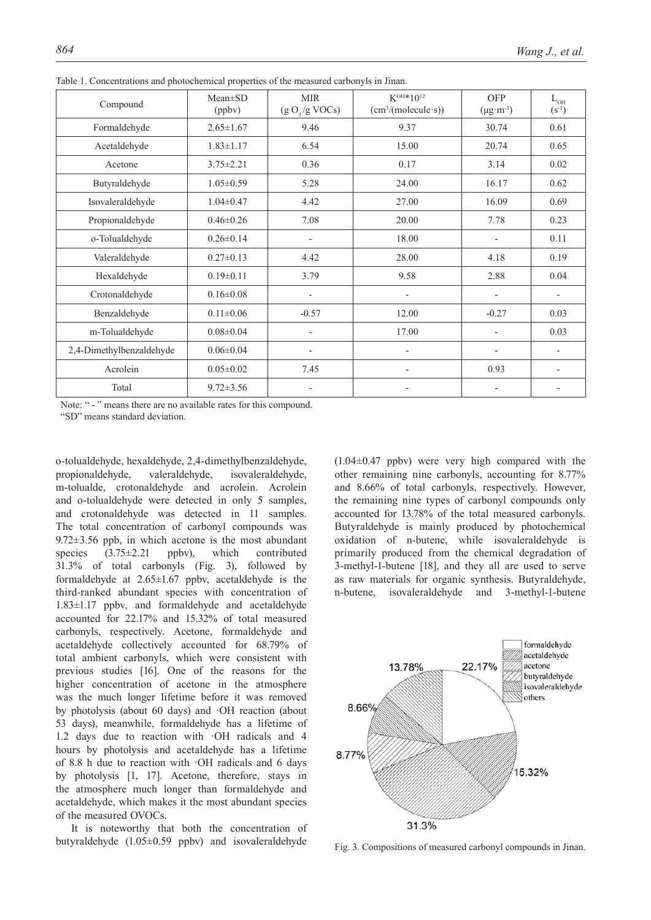| Compound                 | $Mean \pm SD$<br>(ppbv) | <b>MIR</b><br>(g O <sub>3</sub> /g VOCs) | $K^{OH*10^{12}}$<br>(cm <sup>3</sup> /(molecule·s)) | <b>OFP</b><br>$(\mu g \cdot m^{-3})$ | $L_{\text{OH}}$<br>$(S^{-1})$ |
|--------------------------|-------------------------|------------------------------------------|-----------------------------------------------------|--------------------------------------|-------------------------------|
| Formaldehyde             | $2.65 \pm 1.67$         | 9.46                                     | 9.37                                                | 30.74                                | 0.61                          |
| Acetaldehyde             | $1.83 \pm 1.17$         | 6.54                                     | 15.00                                               | 20.74                                | 0.65                          |
| Acetone                  | $3.75 \pm 2.21$         | 0.36                                     | 0.17                                                | 3.14                                 | 0.02                          |
| Butyraldehyde            | $1.05 \pm 0.59$         | 5.28                                     | 24.00                                               | 16.17                                | 0.62                          |
| Isovaleraldehyde         | $1.04 \pm 0.47$         | 4.42                                     | 27.00                                               | 16.09                                | 0.69                          |
| Propionaldehyde          | $0.46 \pm 0.26$         | 7.08                                     | 20.00                                               | 7.78                                 | 0.23                          |
| o-Tolualdehyde           | $0.26 \pm 0.14$         | $\overline{\phantom{a}}$                 | 18.00                                               | $\overline{a}$                       | 0.11                          |
| Valeraldehyde            | $0.27 \pm 0.13$         | 4.42                                     | 28.00                                               | 4.18                                 | 0.19                          |
| Hexaldehyde              | $0.19 \pm 0.11$         | 3.79                                     | 9.58                                                | 2.88                                 | 0.04                          |
| Crotonaldehyde           | $0.16 \pm 0.08$         | $\overline{\phantom{a}}$                 | $\overline{\phantom{0}}$                            | $\overline{a}$                       |                               |
| Benzaldehyde             | $0.11 \pm 0.06$         | $-0.57$                                  | 12.00                                               | $-0.27$                              | 0.03                          |
| m-Tolualdehyde           | $0.08 \pm 0.04$         |                                          | 17.00                                               |                                      | 0.03                          |
| 2,4-Dimethylbenzaldehyde | $0.06 \pm 0.04$         |                                          | $\overline{\phantom{0}}$                            | ٠                                    |                               |
| Acrolein                 | $0.05 \pm 0.02$         | 7.45                                     | $\overline{\phantom{0}}$                            | 0.93                                 |                               |
| Total                    | $9.72 \pm 3.56$         |                                          |                                                     |                                      |                               |

Table 1. Concentrations and photochemical properties of the measured carbonyls in Jinan.

Note: " - " means there are no available rates for this compound. "SD" means standard deviation.

o-tolualdehyde, hexaldehyde, 2,4-dimethylbenzaldehyde, propionaldehyde, valeraldehyde, isovaleraldehyde, m-tolualde, crotonaldehyde and acrolein. Acrolein and o-tolualdehyde were detected in only 5 samples, and crotonaldehyde was detected in 11 samples. The total concentration of carbonyl compounds was  $9.72\pm3.56$  ppb, in which acetone is the most abundant species  $(3.75 \pm 2.21$  ppbv), which contributed 31.3% of total carbonyls (Fig. 3), followed by formaldehyde at  $2.65 \pm 1.67$  ppby, acetaldehyde is the third-ranked abundant species with concentration of 1.83±1.17 ppbv, and formaldehyde and acetaldehyde accounted for 22.17% and 15.32% of total measured carbonyls, respectively. Acetone, formaldehyde and acetaldehyde collectively accounted for 68.79% of total ambient carbonyls, which were consistent with previous studies [16]. One of the reasons for the higher concentration of acetone in the atmosphere was the much longer lifetime before it was removed by photolysis (about 60 days) and ·OH reaction (about 53 days), meanwhile, formaldehyde has a lifetime of 1.2 days due to reaction with ·OH radicals and 4 hours by photolysis and acetaldehyde has a lifetime of 8.8 h due to reaction with ·OH radicals and 6 days by photolysis [1, 17]. Acetone, therefore, stays in the atmosphere much longer than formaldehyde and acetaldehyde, which makes it the most abundant species of the measured OVOCs.

It is noteworthy that both the concentration of butyraldehyde (1.05±0.59 ppbv) and isovaleraldehyde

 $(1.04\pm0.47)$  ppbv) were very high compared with the other remaining nine carbonyls, accounting for 8.77% and 8.66% of total carbonyls, respectively. However, the remaining nine types of carbonyl compounds only accounted for 13.78% of the total measured carbonyls. Butyraldehyde is mainly produced by photochemical oxidation of n-butene, while isovaleraldehyde is primarily produced from the chemical degradation of 3-methyl-1-butene [18], and they all are used to serve as raw materials for organic synthesis. Butyraldehyde, n-butene, isovaleraldehyde and 3-methyl-1-butene



Fig. 3. Compositions of measured carbonyl compounds in Jinan.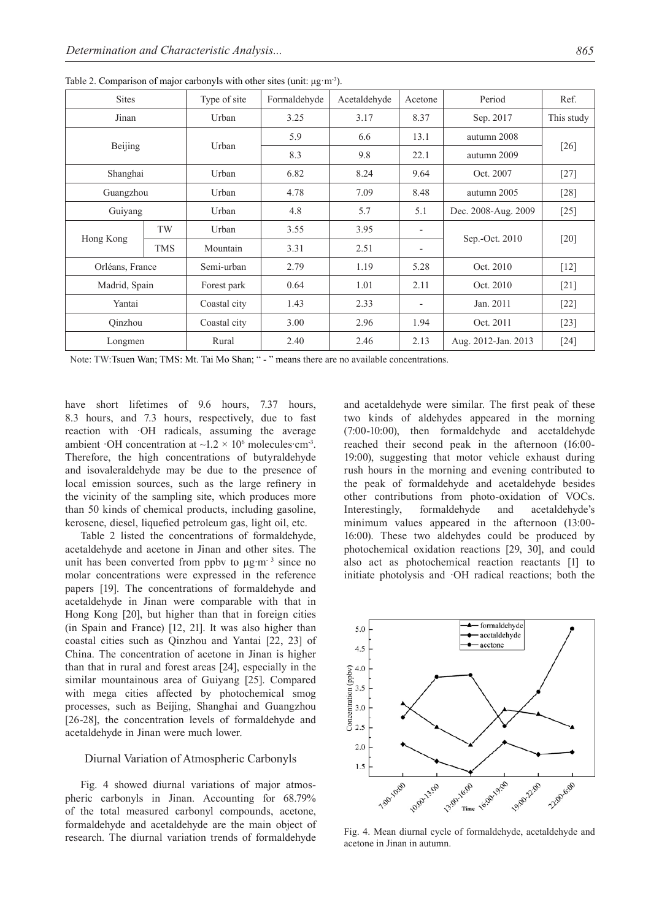| <b>Sites</b>    |                   | Type of site | Formaldehyde | Acetaldehyde<br>Acetone |                          | Period              | Ref.       |  |
|-----------------|-------------------|--------------|--------------|-------------------------|--------------------------|---------------------|------------|--|
| Jinan           |                   | Urban        | 3.25         | 3.17                    | 8.37                     | Sep. 2017           | This study |  |
| Beijing         |                   | Urban        | 5.9          | 6.6                     | 13.1                     | autumn 2008         | $[26]$     |  |
|                 |                   |              | 8.3          | 9.8                     | 22.1                     | autumn 2009         |            |  |
|                 | Shanghai<br>Urban |              | 6.82         | 8.24                    | 9.64                     | Oct. 2007           | $[27]$     |  |
| Guangzhou       |                   | Urban        | 4.78         | 7.09                    | 8.48                     | autumn 2005         | $[28]$     |  |
| Guiyang         |                   | Urban        | 4.8          | 5.7                     | 5.1                      | Dec. 2008-Aug. 2009 | $[25]$     |  |
| Hong Kong       | TW                | Urban        | 3.55         | 3.95                    | $\overline{\phantom{a}}$ |                     | $[20]$     |  |
|                 | <b>TMS</b>        | Mountain     | 3.31         | 2.51                    | $\overline{\phantom{a}}$ | Sep.-Oct. 2010      |            |  |
| Orléans, France |                   | Semi-urban   | 2.79         | 1.19                    | 5.28                     | Oct. 2010           | $[12]$     |  |
| Madrid, Spain   |                   | Forest park  | 0.64         | 1.01                    | 2.11                     | Oct. 2010           | $[21]$     |  |
| Yantai          |                   | Coastal city | 1.43         | 2.33                    | $\overline{\phantom{a}}$ | Jan. 2011           | $[22]$     |  |
| Qinzhou         |                   | Coastal city | 3.00         | 2.96                    | 1.94                     | Oct. 2011           | $[23]$     |  |
| Longmen         |                   | Rural        | 2.40         | 2.46                    | 2.13                     | Aug. 2012-Jan. 2013 | $[24]$     |  |

Table 2. Comparison of major carbonyls with other sites (unit: μg·m-3).

Note: TW:Tsuen Wan; TMS: Mt. Tai Mo Shan; " - " means there are no available concentrations.

have short lifetimes of 9.6 hours, 7.37 hours, 8.3 hours, and 7.3 hours, respectively, due to fast reaction with OH radicals, assuming the average ambient  $\cdot$ OH concentration at  $\sim$ 1.2  $\times$  10<sup>6</sup> molecules cm<sup>-3</sup>. Therefore, the high concentrations of butyraldehyde and isovaleraldehyde may be due to the presence of local emission sources, such as the large refinery in the vicinity of the sampling site, which produces more than 50 kinds of chemical products, including gasoline, kerosene, diesel, liquefied petroleum gas, light oil, etc.

Table 2 listed the concentrations of formaldehyde, acetaldehyde and acetone in Jinan and other sites. The unit has been converted from ppbv to  $\mu$ g m<sup>-3</sup> since no molar concentrations were expressed in the reference papers [19]. The concentrations of formaldehyde and acetaldehyde in Jinan were comparable with that in Hong Kong [20], but higher than that in foreign cities (in Spain and France) [12, 21]. It was also higher than coastal cities such as Qinzhou and Yantai [22, 23] of China. The concentration of acetone in Jinan is higher than that in rural and forest areas [24], especially in the similar mountainous area of Guiyang [25]. Compared with mega cities affected by photochemical smog processes, such as Beijing, Shanghai and Guangzhou [26-28], the concentration levels of formaldehyde and acetaldehyde in Jinan were much lower.

## Diurnal Variation of Atmospheric Carbonyls

Fig. 4 showed diurnal variations of major atmospheric carbonyls in Jinan. Accounting for 68.79% of the total measured carbonyl compounds, acetone, formaldehyde and acetaldehyde are the main object of research. The diurnal variation trends of formaldehyde and acetaldehyde were similar. The first peak of these two kinds of aldehydes appeared in the morning (7:00-10:00), then formaldehyde and acetaldehyde reached their second peak in the afternoon (16:00- 19:00), suggesting that motor vehicle exhaust during rush hours in the morning and evening contributed to the peak of formaldehyde and acetaldehyde besides other contributions from photo-oxidation of VOCs. Interestingly, formaldehyde and acetaldehyde's minimum values appeared in the afternoon (13:00- 16:00). These two aldehydes could be produced by photochemical oxidation reactions [29, 30], and could also act as photochemical reaction reactants [1] to initiate photolysis and ·OH radical reactions; both the



Fig. 4. Mean diurnal cycle of formaldehyde, acetaldehyde and acetone in Jinan in autumn.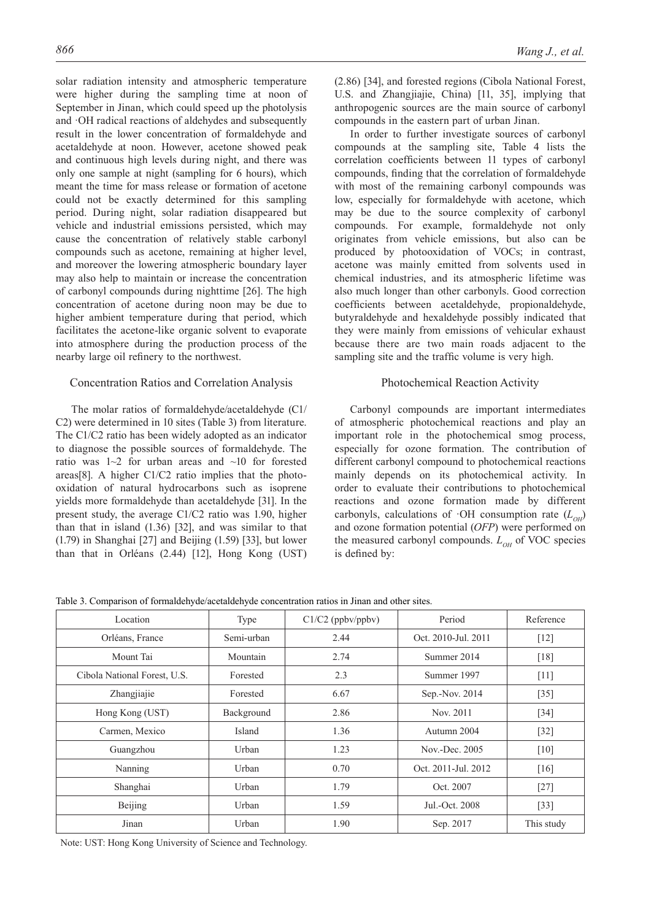solar radiation intensity and atmospheric temperature were higher during the sampling time at noon of September in Jinan, which could speed up the photolysis and ·OH radical reactions of aldehydes and subsequently result in the lower concentration of formaldehyde and acetaldehyde at noon. However, acetone showed peak and continuous high levels during night, and there was only one sample at night (sampling for 6 hours), which meant the time for mass release or formation of acetone could not be exactly determined for this sampling period. During night, solar radiation disappeared but vehicle and industrial emissions persisted, which may cause the concentration of relatively stable carbonyl compounds such as acetone, remaining at higher level, and moreover the lowering atmospheric boundary layer may also help to maintain or increase the concentration of carbonyl compounds during nighttime [26]. The high concentration of acetone during noon may be due to higher ambient temperature during that period, which facilitates the acetone-like organic solvent to evaporate into atmosphere during the production process of the nearby large oil refinery to the northwest.

# Concentration Ratios and Correlation Analysis

The molar ratios of formaldehyde/acetaldehyde (C1/ C2) were determined in 10 sites (Table 3) from literature. The C1/C2 ratio has been widely adopted as an indicator to diagnose the possible sources of formaldehyde. The ratio was 1~2 for urban areas and ~10 for forested areas[8]. A higher C1/C2 ratio implies that the photooxidation of natural hydrocarbons such as isoprene yields more formaldehyde than acetaldehyde [31]. In the present study, the average C1/C2 ratio was 1.90, higher than that in island (1.36) [32], and was similar to that (1.79) in Shanghai [27] and Beijing (1.59) [33], but lower than that in Orléans (2.44) [12], Hong Kong (UST) (2.86) [34], and forested regions (Cibola National Forest, U.S. and Zhangjiajie, China) [11, 35], implying that anthropogenic sources are the main source of carbonyl compounds in the eastern part of urban Jinan.

In order to further investigate sources of carbonyl compounds at the sampling site, Table 4 lists the correlation coefficients between 11 types of carbonyl compounds, finding that the correlation of formaldehyde with most of the remaining carbonyl compounds was low, especially for formaldehyde with acetone, which may be due to the source complexity of carbonyl compounds. For example, formaldehyde not only originates from vehicle emissions, but also can be produced by photooxidation of VOCs; in contrast, acetone was mainly emitted from solvents used in chemical industries, and its atmospheric lifetime was also much longer than other carbonyls. Good correction coefficients between acetaldehyde, propionaldehyde, butyraldehyde and hexaldehyde possibly indicated that they were mainly from emissions of vehicular exhaust because there are two main roads adjacent to the sampling site and the traffic volume is very high.

# Photochemical Reaction Activity

Carbonyl compounds are important intermediates of atmospheric photochemical reactions and play an important role in the photochemical smog process, especially for ozone formation. The contribution of different carbonyl compound to photochemical reactions mainly depends on its photochemical activity. In order to evaluate their contributions to photochemical reactions and ozone formation made by different carbonyls, calculations of  $\cdot$ OH consumption rate  $(L_{OH})$ and ozone formation potential (*OFP*) were performed on the measured carbonyl compounds.  $L_{OH}$  of VOC species is defined by:

Table 3. Comparison of formaldehyde/acetaldehyde concentration ratios in Jinan and other sites.

| Location                     | Type       | $C1/C2$ (ppbv/ppbv) | Period              | Reference  |  |
|------------------------------|------------|---------------------|---------------------|------------|--|
| Orléans, France              | Semi-urban | 2.44                | Oct. 2010-Jul. 2011 | $[12]$     |  |
| Mount Tai                    | Mountain   | 2.74                | Summer 2014         | [18]       |  |
| Cibola National Forest, U.S. | Forested   | 2.3                 | Summer 1997         | $[11]$     |  |
| Zhangjiajie                  | Forested   | 6.67                | Sep.-Nov. 2014      | $[35]$     |  |
| Hong Kong (UST)              | Background | 2.86                | Nov. 2011           | $[34]$     |  |
| Carmen, Mexico               | Island     | 1.36                | Autumn 2004         | $[32]$     |  |
| Guangzhou                    | Urban      | 1.23                | Nov.-Dec. $2005$    | $[10]$     |  |
| Nanning                      | Urban      | 0.70                | Oct. 2011-Jul. 2012 | [16]       |  |
| Shanghai                     | Urban      | 1.79                | Oct. 2007           | $[27]$     |  |
| Beijing                      | Urban      | 1.59                | Jul.-Oct. 2008      | $[33]$     |  |
| Jinan                        | Urban      | 1.90                | Sep. 2017           | This study |  |

Note: UST: Hong Kong University of Science and Technology.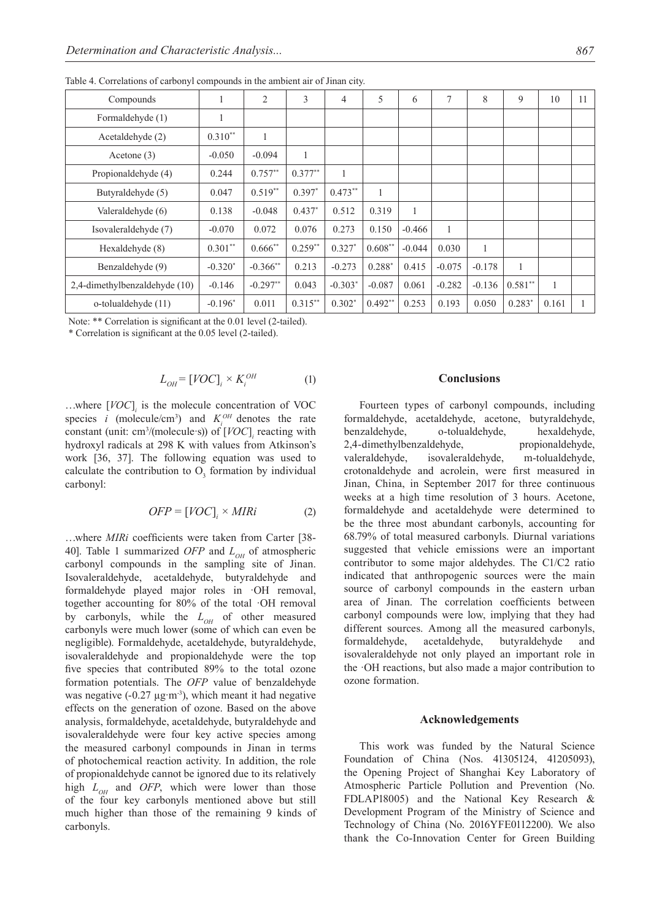| Compounds                     | 1         | 2           | 3         | $\overline{4}$ | 5            | 6            | $\tau$   | 8        | 9         | 10    | 11 |
|-------------------------------|-----------|-------------|-----------|----------------|--------------|--------------|----------|----------|-----------|-------|----|
| Formaldehyde (1)              | 1         |             |           |                |              |              |          |          |           |       |    |
| Acetaldehyde (2)              | $0.310**$ | 1           |           |                |              |              |          |          |           |       |    |
| Acetone $(3)$                 | $-0.050$  | $-0.094$    |           |                |              |              |          |          |           |       |    |
| Propionaldehyde (4)           | 0.244     | $0.757**$   | $0.377**$ | $\mathbf{1}$   |              |              |          |          |           |       |    |
| Butyraldehyde (5)             | 0.047     | $0.519**$   | $0.397*$  | $0.473**$      | $\mathbf{1}$ |              |          |          |           |       |    |
| Valeraldehyde (6)             | 0.138     | $-0.048$    | $0.437*$  | 0.512          | 0.319        | $\mathbf{1}$ |          |          |           |       |    |
| Isovaleraldehyde (7)          | $-0.070$  | 0.072       | 0.076     | 0.273          | 0.150        | $-0.466$     |          |          |           |       |    |
| Hexaldehyde (8)               | $0.301**$ | $0.666$ **  | $0.259**$ | $0.327*$       | $0.608**$    | $-0.044$     | 0.030    | 1        |           |       |    |
| Benzaldehyde (9)              | $-0.320*$ | $-0.366$ ** | 0.213     | $-0.273$       | $0.288*$     | 0.415        | $-0.075$ | $-0.178$ | 1         |       |    |
| 2,4-dimethylbenzaldehyde (10) | $-0.146$  | $-0.297**$  | 0.043     | $-0.303*$      | $-0.087$     | 0.061        | $-0.282$ | $-0.136$ | $0.581**$ | 1     |    |
| o-tolualdehyde (11)           | $-0.196*$ | 0.011       | $0.315**$ | $0.302*$       | $0.492**$    | 0.253        | 0.193    | 0.050    | $0.283*$  | 0.161 |    |

Table 4. Correlations of carbonyl compounds in the ambient air of Jinan city.

Note: \*\* Correlation is significant at the 0.01 level (2-tailed).

\* Correlation is significant at the 0.05 level (2-tailed).

$$
L_{OH} = [VOC]_i \times K_i^{OH} \tag{1}
$$

…where [*VOC*]*<sup>i</sup>* is the molecule concentration of VOC species *i* (molecule/cm<sup>3</sup>) and  $K_i^{OH}$  denotes the rate constant (unit: cm<sup>3</sup>/(molecule s)) of  $[VOC]$ <sub>*i*</sub> reacting with hydroxyl radicals at 298 K with values from Atkinson's work [36, 37]. The following equation was used to calculate the contribution to  $O_3$  formation by individual carbonyl:

$$
OFP = [VOC]_i \times MIRi \tag{2}
$$

…where *MIRi* coefficients were taken from Carter [38- 40]. Table 1 summarized *OFP* and  $L_{\alpha\mu}$  of atmospheric carbonyl compounds in the sampling site of Jinan. Isovaleraldehyde, acetaldehyde, butyraldehyde and formaldehyde played major roles in ·OH removal, together accounting for 80% of the total ·OH removal by carbonyls, while the  $L_{OH}$  of other measured carbonyls were much lower (some of which can even be negligible). Formaldehyde, acetaldehyde, butyraldehyde, isovaleraldehyde and propionaldehyde were the top five species that contributed 89% to the total ozone formation potentials. The *OFP* value of benzaldehyde was negative  $(-0.27 \mu g/m^3)$ , which meant it had negative effects on the generation of ozone. Based on the above analysis, formaldehyde, acetaldehyde, butyraldehyde and isovaleraldehyde were four key active species among the measured carbonyl compounds in Jinan in terms of photochemical reaction activity. In addition, the role of propionaldehyde cannot be ignored due to its relatively high  $L_{OH}$  and *OFP*, which were lower than those of the four key carbonyls mentioned above but still much higher than those of the remaining 9 kinds of carbonyls.

# **Conclusions**

Fourteen types of carbonyl compounds, including formaldehyde, acetaldehyde, acetone, butyraldehyde, benzaldehyde, o-tolualdehyde, hexaldehyde, 2,4-dimethylbenzaldehyde, propionaldehyde, valeraldehyde, isovaleraldehyde, m-tolualdehyde, crotonaldehyde and acrolein, were first measured in Jinan, China, in September 2017 for three continuous weeks at a high time resolution of 3 hours. Acetone, formaldehyde and acetaldehyde were determined to be the three most abundant carbonyls, accounting for 68.79% of total measured carbonyls. Diurnal variations suggested that vehicle emissions were an important contributor to some major aldehydes. The C1/C2 ratio indicated that anthropogenic sources were the main source of carbonyl compounds in the eastern urban area of Jinan. The correlation coefficients between carbonyl compounds were low, implying that they had different sources. Among all the measured carbonyls, formaldehyde, acetaldehyde, butyraldehyde and isovaleraldehyde not only played an important role in the ·OH reactions, but also made a major contribution to ozone formation.

#### **Acknowledgements**

This work was funded by the Natural Science Foundation of China (Nos. 41305124, 41205093), the Opening Project of Shanghai Key Laboratory of Atmospheric Particle Pollution and Prevention (No. FDLAP18005) and the National Key Research & Development Program of the Ministry of Science and Technology of China (No. 2016YFE0112200). We also thank the Co-Innovation Center for Green Building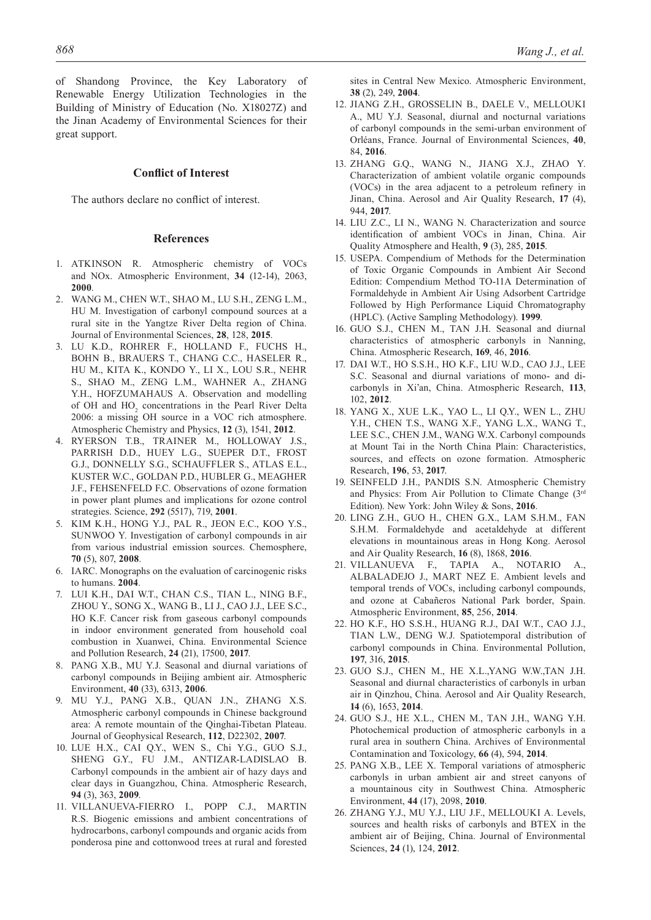of Shandong Province, the Key Laboratory of Renewable Energy Utilization Technologies in the Building of Ministry of Education (No. X18027Z) and the Jinan Academy of Environmental Sciences for their great support.

# **Conflict of Interest**

The authors declare no conflict of interest.

#### **References**

- 1. ATKINSON R. Atmospheric chemistry of VOCs and NOx. Atmospheric Environment, **34** (12-14), 2063, **2000**.
- 2. WANG M., CHEN W.T., SHAO M., LU S.H., ZENG L.M., HU M. Investigation of carbonyl compound sources at a rural site in the Yangtze River Delta region of China. Journal of Environmental Sciences, **28**, 128, **2015**.
- 3. LU K.D., ROHRER F., HOLLAND F., FUCHS H., BOHN B., BRAUERS T., CHANG C.C., HASELER R., HU M., KITA K., KONDO Y., LI X., LOU S.R., NEHR S., SHAO M., ZENG L.M., WAHNER A., ZHANG Y.H., HOFZUMAHAUS A. Observation and modelling of OH and  $HO_2$  concentrations in the Pearl River Delta 2006: a missing OH source in a VOC rich atmosphere. Atmospheric Chemistry and Physics, **12** (3), 1541, **2012**.
- 4. RYERSON T.B., TRAINER M., HOLLOWAY J.S., PARRISH D.D., HUEY L.G., SUEPER D.T., FROST G.J., DONNELLY S.G., SCHAUFFLER S., ATLAS E.L., KUSTER W.C., GOLDAN P.D., HUBLER G., MEAGHER J.F., FEHSENFELD F.C. Observations of ozone formation in power plant plumes and implications for ozone control strategies. Science, **292** (5517), 719, **2001**.
- 5. KIM K.H., HONG Y.J., PAL R., JEON E.C., KOO Y.S., SUNWOO Y. Investigation of carbonyl compounds in air from various industrial emission sources. Chemosphere, **70** (5), 807, **2008**.
- 6. IARC. Monographs on the evaluation of carcinogenic risks to humans. **2004**.
- 7. LUI K.H., DAI W.T., CHAN C.S., TIAN L., NING B.F., ZHOU Y., SONG X., WANG B., LI J., CAO J.J., LEE S.C. HO K.F. Cancer risk from gaseous carbonyl compounds in indoor environment generated from household coal combustion in Xuanwei, China. Environmental Science and Pollution Research, **24** (21), 17500, **2017**.
- 8. PANG X.B., MU Y.J. Seasonal and diurnal variations of carbonyl compounds in Beijing ambient air. Atmospheric Environment, **40** (33), 6313, **2006**.
- 9. MU Y.J., PANG X.B., QUAN J.N., ZHANG X.S. Atmospheric carbonyl compounds in Chinese background area: A remote mountain of the Qinghai-Tibetan Plateau. Journal of Geophysical Research, **112**, D22302, **2007**.
- 10. LUE H.X., CAI Q.Y., WEN S., Chi Y.G., GUO S.J., SHENG G.Y., FU J.M., ANTIZAR-LADISLAO B. Carbonyl compounds in the ambient air of hazy days and clear days in Guangzhou, China. Atmospheric Research, **94** (3), 363, **2009**.
- 11. VILLANUEVA-FIERRO I., POPP C.J., MARTIN R.S. Biogenic emissions and ambient concentrations of hydrocarbons, carbonyl compounds and organic acids from ponderosa pine and cottonwood trees at rural and forested

sites in Central New Mexico. Atmospheric Environment, **38** (2), 249, **2004**.

- 12. JIANG Z.H., GROSSELIN B., DAELE V., MELLOUKI A., MU Y.J. Seasonal, diurnal and nocturnal variations of carbonyl compounds in the semi-urban environment of Orléans, France. Journal of Environmental Sciences, **40**, 84, **2016**.
- 13. ZHANG G.Q., WANG N., JIANG X.J., ZHAO Y. Characterization of ambient volatile organic compounds (VOCs) in the area adjacent to a petroleum refinery in Jinan, China. Aerosol and Air Quality Research, **17** (4), 944, **2017**.
- 14. LIU Z.C., LI N., WANG N. Characterization and source identification of ambient VOCs in Jinan, China. Air Quality Atmosphere and Health, **9** (3), 285, **2015**.
- 15. USEPA. Compendium of Methods for the Determination of Toxic Organic Compounds in Ambient Air Second Edition: Compendium Method TO-11A Determination of Formaldehyde in Ambient Air Using Adsorbent Cartridge Followed by High Performance Liquid Chromatography (HPLC). (Active Sampling Methodology). **1999**.
- 16. GUO S.J., CHEN M., TAN J.H. Seasonal and diurnal characteristics of atmospheric carbonyls in Nanning, China. Atmospheric Research, **169**, 46, **2016**.
- 17. DAI W.T., HO S.S.H., HO K.F., LIU W.D., CAO J.J., LEE S.C. Seasonal and diurnal variations of mono- and dicarbonyls in Xi'an, China. Atmospheric Research, **113**, 102, **2012**.
- 18. YANG X., XUE L.K., YAO L., LI Q.Y., WEN L., ZHU Y.H., CHEN T.S., WANG X.F., YANG L.X., WANG T., LEE S.C., CHEN J.M., WANG W.X. Carbonyl compounds at Mount Tai in the North China Plain: Characteristics, sources, and effects on ozone formation. Atmospheric Research, **196**, 53, **2017**.
- 19. SEINFELD J.H., PANDIS S.N. Atmospheric Chemistry and Physics: From Air Pollution to Climate Change (3rd Edition). New York: John Wiley & Sons, **2016**.
- 20. LING Z.H., GUO H., CHEN G.X., LAM S.H.M., FAN S.H.M. Formaldehyde and acetaldehyde at different elevations in mountainous areas in Hong Kong. Aerosol and Air Quality Research, **16** (8), 1868, **2016**.
- 21. VILLANUEVA F., TAPIA A., NOTARIO A., ALBALADEJO J., MART NEZ E. Ambient levels and temporal trends of VOCs, including carbonyl compounds, and ozone at Cabañeros National Park border, Spain. Atmospheric Environment, **85**, 256, **2014**.
- 22. HO K.F., HO S.S.H., HUANG R.J., DAI W.T., CAO J.J., TIAN L.W., DENG W.J. Spatiotemporal distribution of carbonyl compounds in China. Environmental Pollution, **197**, 316, **2015**.
- 23. GUO S.J., CHEN M., HE X.L.,YANG W.W.,TAN J.H. Seasonal and diurnal characteristics of carbonyls in urban air in Qinzhou, China. Aerosol and Air Quality Research, **14** (6), 1653, **2014**.
- 24. GUO S.J., HE X.L., CHEN M., TAN J.H., WANG Y.H. Photochemical production of atmospheric carbonyls in a rural area in southern China. Archives of Environmental Contamination and Toxicology, **66** (4), 594, **2014**.
- 25. PANG X.B., LEE X. Temporal variations of atmospheric carbonyls in urban ambient air and street canyons of a mountainous city in Southwest China. Atmospheric Environment, **44** (17), 2098, **2010**.
- 26. ZHANG Y.J., MU Y.J., LIU J.F., MELLOUKI A. Levels, sources and health risks of carbonyls and BTEX in the ambient air of Beijing, China. Journal of Environmental Sciences, **24** (1), 124, **2012**.